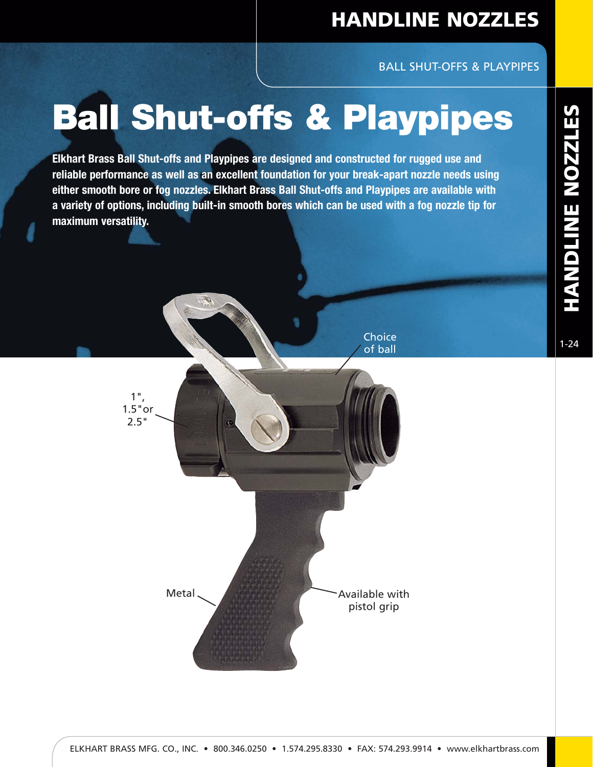### **HANDLINE NOZZLES**

BALL SHUT-OFFS & PLAYPIPES

# **Ball Shut-offs & Playpipes**

**Elkhart Brass Ball Shut-offs and Playpipes are designed and constructed for rugged use and reliable performance as well as an excellent foundation for your break-apart nozzle needs using either smooth bore or fog nozzles. Elkhart Brass Ball Shut-offs and Playpipes are available with a variety of options, including built-in smooth bores which can be used with a fog nozzle tip for maximum versatility.**

> **Choice** of ball

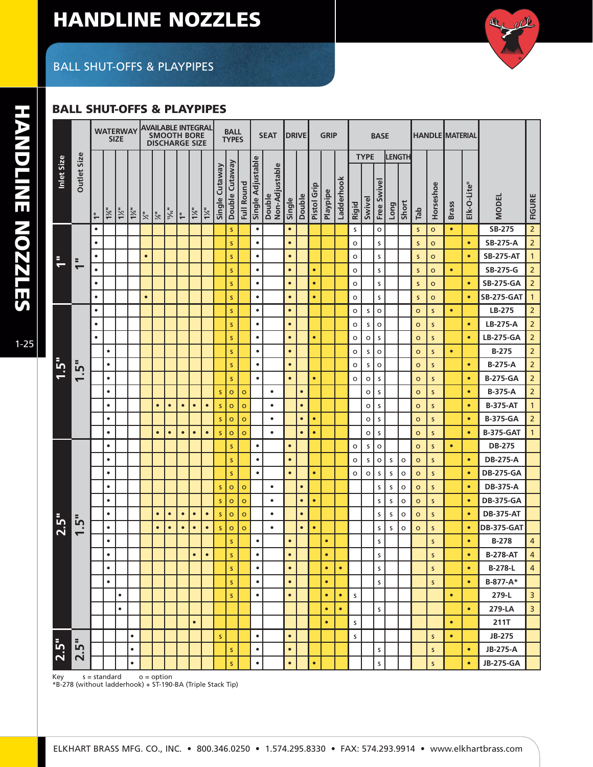# **HANDLINE NOZZLES**

### BALL SHUT-OFFS & PLAYPIPES

#### **BALL SHUT-OFFS & PLAYPIPES**

| Inlet Size | Outlet Size          |           | <b>WATERWAY</b><br><b>SIZE</b> |                |                  | AVAILABLE INTEGRAL<br>SMOOTH BORE<br><b>DISCHARGE SIZE</b> |                             |                      |           |                  |                | <b>BALL</b><br><b>TYPES</b> |                         |            | <b>SEAT</b>       |                          |           | <b>DRIVE</b> |           | <b>GRIP</b> |           |            | <b>BASE</b>  |                       |              |                       |              |              |              | <b>HANDLE MATERIAL</b> |             |                   |                |
|------------|----------------------|-----------|--------------------------------|----------------|------------------|------------------------------------------------------------|-----------------------------|----------------------|-----------|------------------|----------------|-----------------------------|-------------------------|------------|-------------------|--------------------------|-----------|--------------|-----------|-------------|-----------|------------|--------------|-----------------------|--------------|-----------------------|--------------|--------------|--------------|------------------------|-------------|-------------------|----------------|
|            |                      | ÷         | $1\frac{3}{8}$ "               | $1\frac{1}{2}$ | $1\frac{3}{4}$ " | $\mathbb{X}^n$                                             | $\mathbb{N}_2^{\mathbb{N}}$ | $\frac{9V_{51}}{15}$ | ≒         | $1\frac{1}{8}$ " | $1\frac{1}{4}$ | Single Cutaway              | Double Cutaway          | Full Round | Single Adjustable | Non-Adjustable<br>Double | Single    |              | Double    | Pistol Grip | Playpipe  | Ladderhook | Rigid        | <b>TYPE</b><br>Swivel | Free Swivel  | <b>LENGTH</b><br>Long | Short        | Tab          | Horseshoe    | <b>Brass</b>           | Elk-O-Lite® | <b>MODEL</b>      | <b>FIGURE</b>  |
| e          |                      | $\bullet$ |                                |                |                  |                                                            |                             |                      |           |                  |                |                             | $\mathsf{s}$            |            | $\bullet$         |                          | $\bullet$ |              |           |             |           |            | s            |                       | $\mathsf{o}$ |                       |              | $\sf S$      | $\circ$      | $\bullet$              |             | <b>SB-275</b>     | $\overline{2}$ |
|            | $\ddot{\phantom{1}}$ | $\bullet$ |                                |                |                  |                                                            |                             |                      |           |                  |                |                             | s                       |            | $\bullet$         |                          | $\bullet$ |              |           |             |           |            | $\mathsf{o}$ |                       | $\sf S$      |                       |              | $\sf S$      | $\circ$      |                        | $\bullet$   | <b>SB-275-A</b>   | $\overline{2}$ |
|            |                      | $\bullet$ |                                |                |                  | $\bullet$                                                  |                             |                      |           |                  |                |                             | $\mathsf{s}$            |            | $\bullet$         |                          | $\bullet$ |              |           |             |           |            | $\mathsf{o}$ |                       | $\sf S$      |                       |              | $\sf S$      | $\mathbf{o}$ |                        | $\bullet$   | <b>SB-275-AT</b>  | $\mathbf{1}$   |
|            |                      | $\bullet$ |                                |                |                  |                                                            |                             |                      |           |                  |                |                             | $\sf S$                 |            | $\bullet$         |                          | $\bullet$ |              |           | $\bullet$   |           |            | $\circ$      |                       | $\sf s$      |                       |              | $\sf S$      | $\circ$      | $\bullet$              |             | SB-275-G          | $\mathsf{2}$   |
|            |                      | $\bullet$ |                                |                |                  |                                                            |                             |                      |           |                  |                |                             | s                       |            | $\bullet$         |                          | $\bullet$ |              |           | $\bullet$   |           |            | $\circ$      |                       | $\sf s$      |                       |              | S            | $\circ$      |                        | $\bullet$   | <b>SB-275-GA</b>  | $\overline{2}$ |
|            |                      | $\bullet$ |                                |                |                  | $\bullet$                                                  |                             |                      |           |                  |                |                             | $\sf S$                 |            | $\bullet$         |                          | $\bullet$ |              |           | $\bullet$   |           |            | $\circ$      |                       | $\sf S$      |                       |              | $\sf S$      | $\circ$      |                        | $\bullet$   | <b>SB-275-GAT</b> | $\mathbf{1}$   |
|            | 1.5"                 | $\bullet$ |                                |                |                  |                                                            |                             |                      |           |                  |                |                             | $\sf S$                 |            | $\bullet$         |                          | $\bullet$ |              |           |             |           |            | $\mathsf{o}$ | $\sf S$               | $\circ$      |                       |              | $\circ$      | $\sf S$      | $\bullet$              |             | LB-275            | $\overline{2}$ |
|            |                      | $\bullet$ |                                |                |                  |                                                            |                             |                      |           |                  |                |                             | s                       |            | $\bullet$         |                          | $\bullet$ |              |           |             |           |            | $\circ$      | $\sf S$               | $\circ$      |                       |              | $\circ$      | $\sf S$      |                        | $\bullet$   | LB-275-A          | $\overline{2}$ |
|            |                      | $\bullet$ |                                |                |                  |                                                            |                             |                      |           |                  |                |                             | $\overline{\mathsf{s}}$ |            | $\bullet$         |                          | $\bullet$ |              |           | $\bullet$   |           |            | $\mathsf{o}$ | $\mathsf{o}$          | $\sf S$      |                       |              | $\mathsf{o}$ | $\sf S$      |                        | $\bullet$   | <b>LB-275-GA</b>  |                |
| 1.5"       |                      |           | $\bullet$                      |                |                  |                                                            |                             |                      |           |                  |                |                             | $\sf S$                 |            | $\bullet$         |                          | $\bullet$ |              |           |             |           |            | $\mathsf{o}$ | $\sf S$               | $\circ$      |                       |              | $\circ$      | $\sf S$      | $\bullet$              |             | B-275             | $\mathsf{2}$   |
|            |                      |           | $\bullet$                      |                |                  |                                                            |                             |                      |           |                  |                |                             | s                       |            | $\bullet$         |                          | $\bullet$ |              |           |             |           |            | $\mathsf{o}$ | $\sf S$               | $\circ$      |                       |              | $\circ$      | $\sf S$      |                        | $\bullet$   | <b>B-275-A</b>    | $\overline{2}$ |
|            |                      |           | $\bullet$                      |                |                  |                                                            |                             |                      |           |                  |                |                             | $\mathsf{s}$            |            | $\bullet$         |                          | $\bullet$ |              |           | $\bullet$   |           |            | $\mathsf{o}$ | $\mathsf{o}$          | $\sf S$      |                       |              | $\mathsf{o}$ | $\sf S$      |                        | $\bullet$   | <b>B-275-GA</b>   |                |
|            |                      |           | $\bullet$                      |                |                  |                                                            |                             |                      |           |                  |                | s                           | $\mathsf{o}$            | $\circ$    |                   | $\bullet$                |           |              | $\bullet$ |             |           |            |              | $\circ$               | $\sf S$      |                       |              | $\circ$      | $\sf S$      |                        | $\bullet$   | B-375-A           | $\mathsf{2}$   |
|            |                      |           | $\bullet$                      |                |                  |                                                            | $\bullet$                   | $\bullet$            | $\bullet$ | $\bullet$        | $\bullet$      | $\mathsf{s}$                | $\circ$                 | $\circ$    |                   | $\bullet$                |           |              | $\bullet$ |             |           |            |              | $\circ$               | $\sf S$      |                       |              | $\circ$      | $\mathsf{s}$ |                        | $\bullet$   | <b>B-375-AT</b>   | $\mathbf{1}$   |
|            |                      |           | $\bullet$                      |                |                  |                                                            |                             |                      |           |                  |                | $\sf S$                     | $\mathsf{o}$            | $\circ$    |                   | $\bullet$                |           |              | $\bullet$ | $\bullet$   |           |            |              | $\circ$               | $\sf S$      |                       |              | $\mathsf{o}$ | $\sf S$      |                        | $\bullet$   | <b>B-375-GA</b>   |                |
|            |                      |           | $\bullet$                      |                |                  |                                                            | $\bullet$                   | $\bullet$            | $\bullet$ | $\bullet$        | $\bullet$      | s                           | $\circ$                 | $\circ$    |                   | $\bullet$                |           |              | $\bullet$ | $\bullet$   |           |            |              | $\circ$               | $\sf S$      |                       |              | $\circ$      | $\sf S$      |                        | $\bullet$   | <b>B-375-GAT</b>  | $\mathbf{1}$   |
|            | 1.5"                 |           | $\bullet$                      |                |                  |                                                            |                             |                      |           |                  |                |                             | s                       |            | $\bullet$         |                          | $\bullet$ |              |           |             |           |            | $\circ$      | $\sf S$               | $\circ$      |                       |              | $\circ$      | $\sf S$      | $\bullet$              |             | <b>DB-275</b>     |                |
|            |                      |           | $\bullet$                      |                |                  |                                                            |                             |                      |           |                  |                |                             | $\overline{\mathsf{s}}$ |            | $\bullet$         |                          | $\bullet$ |              |           |             |           |            | $\mathsf{o}$ | $\sf S$               | $\mathsf{o}$ | $\sf S$               | $\mathsf{o}$ | $\mathbf{o}$ | $\sf S$      |                        | $\bullet$   | <b>DB-275-A</b>   |                |
|            |                      |           | $\bullet$                      |                |                  |                                                            |                             |                      |           |                  |                |                             | $\mathsf{s}$            |            | $\bullet$         |                          | $\bullet$ |              |           | $\bullet$   |           |            | $\circ$      | $\circ$               | $\sf S$      | S                     | o            | $\mathsf{o}$ | $\sf S$      |                        | $\bullet$   | <b>DB-275-GA</b>  |                |
|            |                      |           | $\bullet$                      |                |                  |                                                            |                             |                      |           |                  |                | $\mathsf{s}$                | $\circ$                 | $\circ$    |                   | $\bullet$                |           |              | $\bullet$ |             |           |            |              |                       | $\sf S$      | s                     | o            | $\mathsf{o}$ | $\mathsf{s}$ |                        | $\bullet$   | <b>DB-375-A</b>   |                |
|            |                      |           | $\bullet$                      |                |                  |                                                            |                             |                      |           |                  |                | $\sf S$                     | $\mathsf{o}$            | $\circ$    |                   | $\bullet$                |           |              | $\bullet$ | $\bullet$   |           |            |              |                       | $\sf S$      | S                     | o            | $\mathsf{o}$ | $\sf S$      |                        | $\bullet$   | <b>DB-375-GA</b>  |                |
| 2.5"       |                      |           | $\bullet$                      |                |                  |                                                            | $\bullet$                   | $\bullet$            | $\bullet$ | $\bullet$        | $\bullet$      | s                           | $\circ$                 | $\circ$    |                   | $\bullet$                |           |              | $\bullet$ |             |           |            |              |                       | $\sf S$      | S                     | o            | $\mathsf{o}$ | $\sf S$      |                        | $\bullet$   | <b>DB-375-AT</b>  |                |
|            |                      |           | $\bullet$                      |                |                  |                                                            | $\bullet$                   | $\bullet$            | $\bullet$ | $\bullet$        | $\bullet$      | s                           | $\circ$                 | $\circ$    |                   | $\bullet$                |           |              | $\bullet$ | $\bullet$   |           |            |              |                       | $\sf S$      | S                     | o            | $\mathsf{o}$ | $\sf S$      |                        | $\bullet$   | <b>DB-375-GAT</b> |                |
|            |                      |           | $\bullet$                      |                |                  |                                                            |                             |                      |           |                  |                |                             | $\sf S$                 |            | $\bullet$         |                          | $\bullet$ |              |           |             | $\bullet$ |            |              |                       | $\sf S$      |                       |              |              | $\sf S$      |                        | $\bullet$   | <b>B-278</b>      | $\overline{4}$ |
|            |                      |           | $\bullet$                      |                |                  |                                                            |                             |                      |           | ٠                | $\bullet$      |                             | $\sf S$                 |            | $\bullet$         |                          | $\bullet$ |              |           |             | $\bullet$ |            |              |                       | s            |                       |              |              | S            |                        | $\bullet$   | <b>B-278-AT</b>   | 4              |
|            |                      |           | $\bullet$                      |                |                  |                                                            |                             |                      |           |                  |                |                             | $\overline{\mathsf{S}}$ |            | $\bullet$         |                          |           | $\bullet$    |           |             | $\bullet$ | $\bullet$  |              |                       | $\sf S$      |                       |              |              | $\mathsf{s}$ |                        | $\bullet$   | B-278-L           | $\overline{4}$ |
|            |                      |           | $\bullet$                      |                |                  |                                                            |                             |                      |           |                  |                |                             | s                       |            | $\bullet$         |                          | $\bullet$ |              |           |             | $\bullet$ |            |              |                       | $\sf S$      |                       |              |              | $\sf S$      |                        | $\bullet$   | B-877-A*          |                |
|            |                      |           |                                | $\bullet$      |                  |                                                            |                             |                      |           |                  |                |                             | S                       |            | $\bullet$         |                          | $\bullet$ |              |           |             | $\bullet$ | $\bullet$  | S            |                       |              |                       |              |              |              | $\bullet$              |             | 279-L             | $\overline{3}$ |
|            |                      |           |                                | $\bullet$      |                  |                                                            |                             |                      |           |                  |                |                             |                         |            |                   |                          |           |              |           |             | $\bullet$ | $\bullet$  |              |                       | $\sf S$      |                       |              |              |              |                        | $\bullet$   | 279-LA            | 3              |
|            |                      |           |                                |                |                  |                                                            |                             |                      |           | $\bullet$        |                |                             |                         |            |                   |                          |           |              |           |             | $\bullet$ |            | $\sf S$      |                       |              |                       |              |              |              | $\bullet$              |             | 211T              |                |
| 2.5"       | 2.5"                 |           |                                |                | $\bullet$        |                                                            |                             |                      |           |                  |                | s                           |                         |            | $\bullet$         |                          | $\bullet$ |              |           |             |           |            | $\sf S$      |                       |              |                       |              |              | S            | $\bullet$              |             | JB-275            |                |
|            |                      |           |                                |                | $\bullet$        |                                                            |                             |                      |           |                  |                |                             | $\sf S$                 |            | $\bullet$         |                          | $\bullet$ |              |           |             |           |            |              |                       | $\sf S$      |                       |              |              | $\sf S$      |                        | $\bullet$   | JB-275-A          |                |
|            |                      |           |                                |                | $\bullet$        |                                                            |                             |                      |           |                  |                |                             | $\sf S$                 |            | $\bullet$         |                          | $\bullet$ |              |           | $\bullet$   |           |            |              |                       | $\sf S$      |                       |              |              | $\sf S$      |                        | $\bullet$   | <b>JB-275-GA</b>  |                |

the other

 $Key$   $s = standard$   $o = option$ \*B-278 (without ladderhook) + ST-190-BA (Triple Stack Tip)

1-25